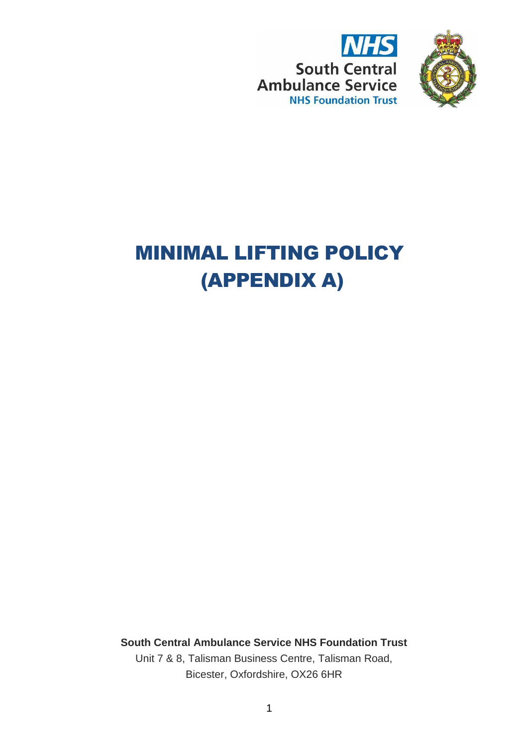



# MINIMAL LIFTING POLICY (APPENDIX A)

**South Central Ambulance Service NHS Foundation Trust** Unit 7 & 8, Talisman Business Centre, Talisman Road, Bicester, Oxfordshire, OX26 6HR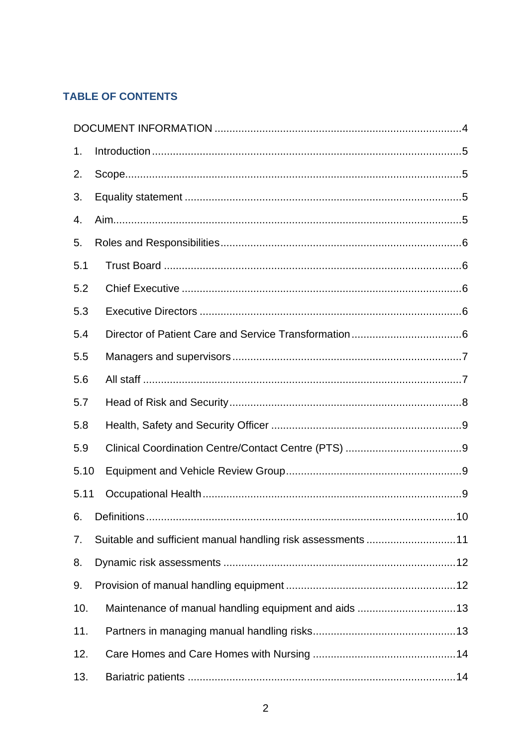# **TABLE OF CONTENTS**

| 1.   |                                                             |  |  |
|------|-------------------------------------------------------------|--|--|
| 2.   |                                                             |  |  |
| 3.   |                                                             |  |  |
| 4.   |                                                             |  |  |
| 5.   |                                                             |  |  |
| 5.1  |                                                             |  |  |
| 5.2  |                                                             |  |  |
| 5.3  |                                                             |  |  |
| 5.4  |                                                             |  |  |
| 5.5  |                                                             |  |  |
| 5.6  |                                                             |  |  |
| 5.7  |                                                             |  |  |
| 5.8  |                                                             |  |  |
| 5.9  |                                                             |  |  |
| 5.10 |                                                             |  |  |
| 5.11 |                                                             |  |  |
|      |                                                             |  |  |
| 7.   | Suitable and sufficient manual handling risk assessments 11 |  |  |
| 8.   |                                                             |  |  |
| 9.   |                                                             |  |  |
| 10.  |                                                             |  |  |
| 11.  |                                                             |  |  |
| 12.  |                                                             |  |  |
| 13.  |                                                             |  |  |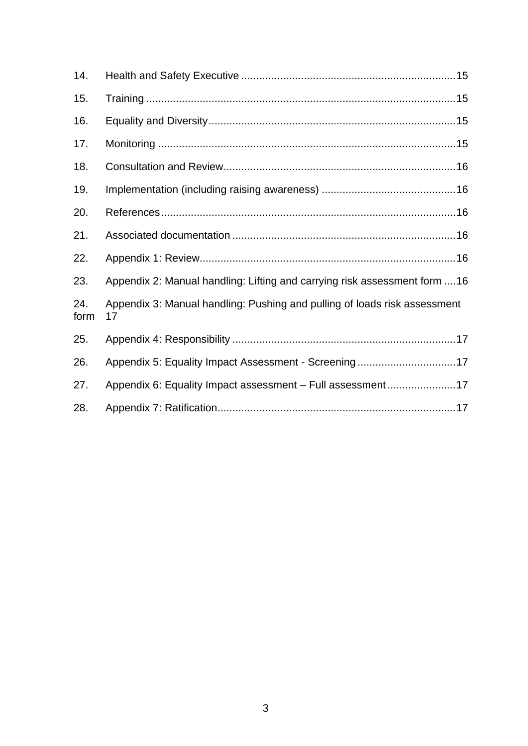| 14.         |                                                                                 |
|-------------|---------------------------------------------------------------------------------|
| 15.         |                                                                                 |
| 16.         |                                                                                 |
| 17.         |                                                                                 |
| 18.         |                                                                                 |
| 19.         |                                                                                 |
| 20.         |                                                                                 |
| 21.         |                                                                                 |
| 22.         |                                                                                 |
| 23.         | Appendix 2: Manual handling: Lifting and carrying risk assessment form 16       |
| 24.<br>form | Appendix 3: Manual handling: Pushing and pulling of loads risk assessment<br>17 |
| 25.         |                                                                                 |
| 26.         | Appendix 5: Equality Impact Assessment - Screening17                            |
| 27.         | Appendix 6: Equality Impact assessment - Full assessment17                      |
| 28.         |                                                                                 |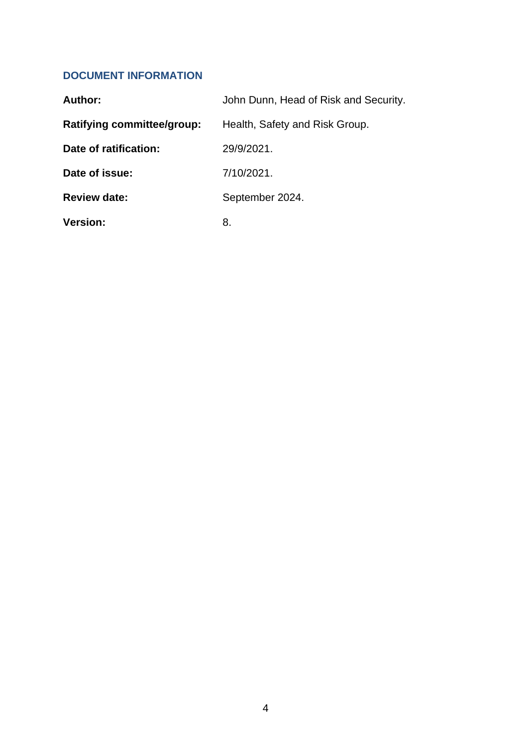# <span id="page-3-0"></span>**DOCUMENT INFORMATION**

| Author:                    | John Dunn, Head of Risk and Security. |
|----------------------------|---------------------------------------|
| Ratifying committee/group: | Health, Safety and Risk Group.        |
| Date of ratification:      | 29/9/2021.                            |
| Date of issue:             | 7/10/2021.                            |
| <b>Review date:</b>        | September 2024.                       |
| <b>Version:</b>            | 8.                                    |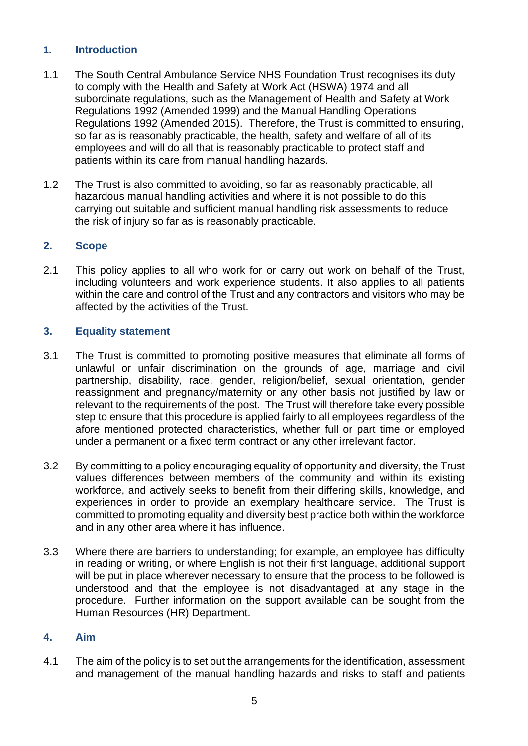# <span id="page-4-0"></span>**1. Introduction**

- 1.1 The South Central Ambulance Service NHS Foundation Trust recognises its duty to comply with the Health and Safety at Work Act (HSWA) 1974 and all subordinate regulations, such as the Management of Health and Safety at Work Regulations 1992 (Amended 1999) and the Manual Handling Operations Regulations 1992 (Amended 2015). Therefore, the Trust is committed to ensuring, so far as is reasonably practicable, the health, safety and welfare of all of its employees and will do all that is reasonably practicable to protect staff and patients within its care from manual handling hazards.
- 1.2 The Trust is also committed to avoiding, so far as reasonably practicable, all hazardous manual handling activities and where it is not possible to do this carrying out suitable and sufficient manual handling risk assessments to reduce the risk of injury so far as is reasonably practicable.

# <span id="page-4-1"></span>**2. Scope**

2.1 This policy applies to all who work for or carry out work on behalf of the Trust, including volunteers and work experience students. It also applies to all patients within the care and control of the Trust and any contractors and visitors who may be affected by the activities of the Trust.

# <span id="page-4-2"></span>**3. Equality statement**

- 3.1 The Trust is committed to promoting positive measures that eliminate all forms of unlawful or unfair discrimination on the grounds of age, marriage and civil partnership, disability, race, gender, religion/belief, sexual orientation, gender reassignment and pregnancy/maternity or any other basis not justified by law or relevant to the requirements of the post. The Trust will therefore take every possible step to ensure that this procedure is applied fairly to all employees regardless of the afore mentioned protected characteristics, whether full or part time or employed under a permanent or a fixed term contract or any other irrelevant factor.
- 3.2 By committing to a policy encouraging equality of opportunity and diversity, the Trust values differences between members of the community and within its existing workforce, and actively seeks to benefit from their differing skills, knowledge, and experiences in order to provide an exemplary healthcare service. The Trust is committed to promoting equality and diversity best practice both within the workforce and in any other area where it has influence.
- 3.3 Where there are barriers to understanding; for example, an employee has difficulty in reading or writing, or where English is not their first language, additional support will be put in place wherever necessary to ensure that the process to be followed is understood and that the employee is not disadvantaged at any stage in the procedure. Further information on the support available can be sought from the Human Resources (HR) Department.

#### <span id="page-4-3"></span>**4. Aim**

4.1 The aim of the policy is to set out the arrangements for the identification, assessment and management of the manual handling hazards and risks to staff and patients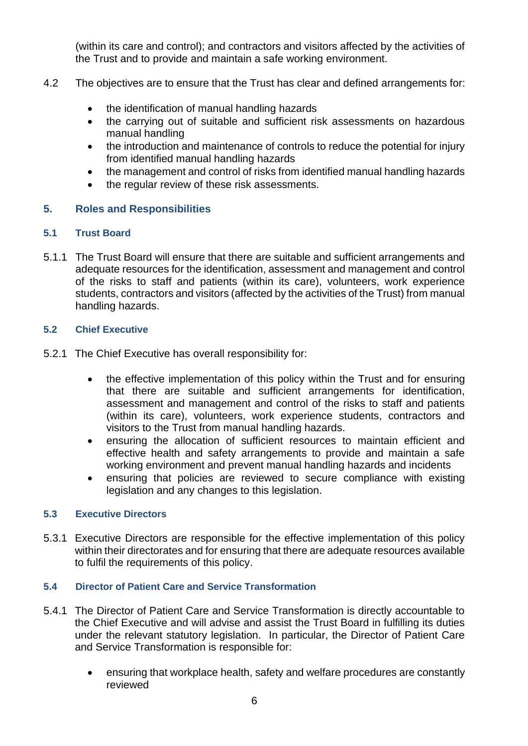(within its care and control); and contractors and visitors affected by the activities of the Trust and to provide and maintain a safe working environment.

- 4.2 The objectives are to ensure that the Trust has clear and defined arrangements for:
	- the identification of manual handling hazards
	- the carrying out of suitable and sufficient risk assessments on hazardous manual handling
	- the introduction and maintenance of controls to reduce the potential for injury from identified manual handling hazards
	- the management and control of risks from identified manual handling hazards
	- the regular review of these risk assessments.

# <span id="page-5-0"></span>**5. Roles and Responsibilities**

#### <span id="page-5-1"></span>**5.1 Trust Board**

5.1.1 The Trust Board will ensure that there are suitable and sufficient arrangements and adequate resources for the identification, assessment and management and control of the risks to staff and patients (within its care), volunteers, work experience students, contractors and visitors (affected by the activities of the Trust) from manual handling hazards.

# <span id="page-5-2"></span>**5.2 Chief Executive**

- 5.2.1 The Chief Executive has overall responsibility for:
	- the effective implementation of this policy within the Trust and for ensuring that there are suitable and sufficient arrangements for identification, assessment and management and control of the risks to staff and patients (within its care), volunteers, work experience students, contractors and visitors to the Trust from manual handling hazards.
	- ensuring the allocation of sufficient resources to maintain efficient and effective health and safety arrangements to provide and maintain a safe working environment and prevent manual handling hazards and incidents
	- ensuring that policies are reviewed to secure compliance with existing legislation and any changes to this legislation.

#### <span id="page-5-3"></span>**5.3 Executive Directors**

5.3.1 Executive Directors are responsible for the effective implementation of this policy within their directorates and for ensuring that there are adequate resources available to fulfil the requirements of this policy.

#### <span id="page-5-4"></span>**5.4 Director of Patient Care and Service Transformation**

- 5.4.1 The Director of Patient Care and Service Transformation is directly accountable to the Chief Executive and will advise and assist the Trust Board in fulfilling its duties under the relevant statutory legislation. In particular, the Director of Patient Care and Service Transformation is responsible for:
	- ensuring that workplace health, safety and welfare procedures are constantly reviewed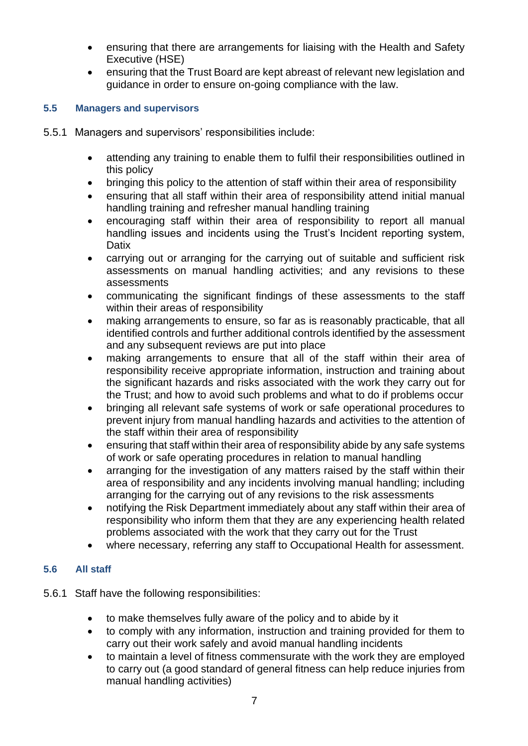- ensuring that there are arrangements for liaising with the Health and Safety Executive (HSE)
- ensuring that the Trust Board are kept abreast of relevant new legislation and guidance in order to ensure on-going compliance with the law.

# <span id="page-6-0"></span>**5.5 Managers and supervisors**

- 5.5.1 Managers and supervisors' responsibilities include:
	- attending any training to enable them to fulfil their responsibilities outlined in this policy
	- bringing this policy to the attention of staff within their area of responsibility
	- ensuring that all staff within their area of responsibility attend initial manual handling training and refresher manual handling training
	- encouraging staff within their area of responsibility to report all manual handling issues and incidents using the Trust's Incident reporting system, **Datix**
	- carrying out or arranging for the carrying out of suitable and sufficient risk assessments on manual handling activities; and any revisions to these assessments
	- communicating the significant findings of these assessments to the staff within their areas of responsibility
	- making arrangements to ensure, so far as is reasonably practicable, that all identified controls and further additional controls identified by the assessment and any subsequent reviews are put into place
	- making arrangements to ensure that all of the staff within their area of responsibility receive appropriate information, instruction and training about the significant hazards and risks associated with the work they carry out for the Trust; and how to avoid such problems and what to do if problems occur
	- bringing all relevant safe systems of work or safe operational procedures to prevent injury from manual handling hazards and activities to the attention of the staff within their area of responsibility
	- ensuring that staff within their area of responsibility abide by any safe systems of work or safe operating procedures in relation to manual handling
	- arranging for the investigation of any matters raised by the staff within their area of responsibility and any incidents involving manual handling; including arranging for the carrying out of any revisions to the risk assessments
	- notifying the Risk Department immediately about any staff within their area of responsibility who inform them that they are any experiencing health related problems associated with the work that they carry out for the Trust
	- where necessary, referring any staff to Occupational Health for assessment.

# <span id="page-6-1"></span>**5.6 All staff**

- 5.6.1 Staff have the following responsibilities:
	- to make themselves fully aware of the policy and to abide by it
	- to comply with any information, instruction and training provided for them to carry out their work safely and avoid manual handling incidents
	- to maintain a level of fitness commensurate with the work they are employed to carry out (a good standard of general fitness can help reduce injuries from manual handling activities)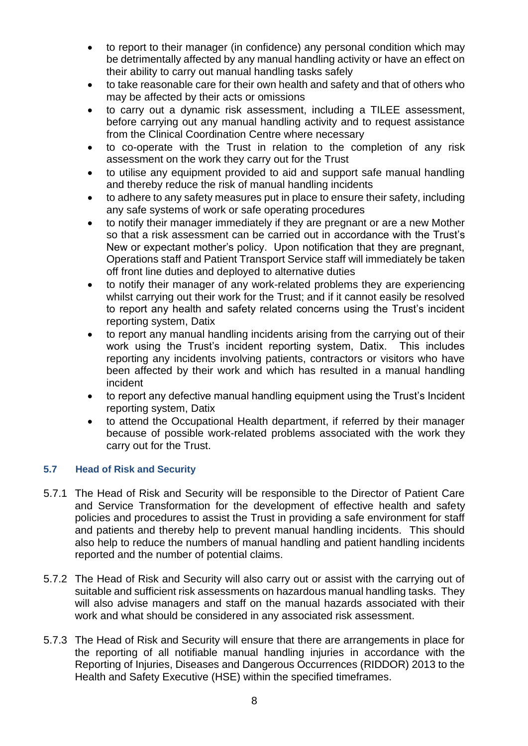- to report to their manager (in confidence) any personal condition which may be detrimentally affected by any manual handling activity or have an effect on their ability to carry out manual handling tasks safely
- to take reasonable care for their own health and safety and that of others who may be affected by their acts or omissions
- to carry out a dynamic risk assessment, including a TILEE assessment, before carrying out any manual handling activity and to request assistance from the Clinical Coordination Centre where necessary
- to co-operate with the Trust in relation to the completion of any risk assessment on the work they carry out for the Trust
- to utilise any equipment provided to aid and support safe manual handling and thereby reduce the risk of manual handling incidents
- to adhere to any safety measures put in place to ensure their safety, including any safe systems of work or safe operating procedures
- to notify their manager immediately if they are pregnant or are a new Mother so that a risk assessment can be carried out in accordance with the Trust's New or expectant mother's policy. Upon notification that they are pregnant, Operations staff and Patient Transport Service staff will immediately be taken off front line duties and deployed to alternative duties
- to notify their manager of any work-related problems they are experiencing whilst carrying out their work for the Trust; and if it cannot easily be resolved to report any health and safety related concerns using the Trust's incident reporting system, Datix
- to report any manual handling incidents arising from the carrying out of their work using the Trust's incident reporting system, Datix. This includes reporting any incidents involving patients, contractors or visitors who have been affected by their work and which has resulted in a manual handling incident
- to report any defective manual handling equipment using the Trust's Incident reporting system, Datix
- to attend the Occupational Health department, if referred by their manager because of possible work-related problems associated with the work they carry out for the Trust.

# <span id="page-7-0"></span>**5.7 Head of Risk and Security**

- 5.7.1 The Head of Risk and Security will be responsible to the Director of Patient Care and Service Transformation for the development of effective health and safety policies and procedures to assist the Trust in providing a safe environment for staff and patients and thereby help to prevent manual handling incidents. This should also help to reduce the numbers of manual handling and patient handling incidents reported and the number of potential claims.
- 5.7.2 The Head of Risk and Security will also carry out or assist with the carrying out of suitable and sufficient risk assessments on hazardous manual handling tasks. They will also advise managers and staff on the manual hazards associated with their work and what should be considered in any associated risk assessment.
- 5.7.3 The Head of Risk and Security will ensure that there are arrangements in place for the reporting of all notifiable manual handling injuries in accordance with the Reporting of Injuries, Diseases and Dangerous Occurrences (RIDDOR) 2013 to the Health and Safety Executive (HSE) within the specified timeframes.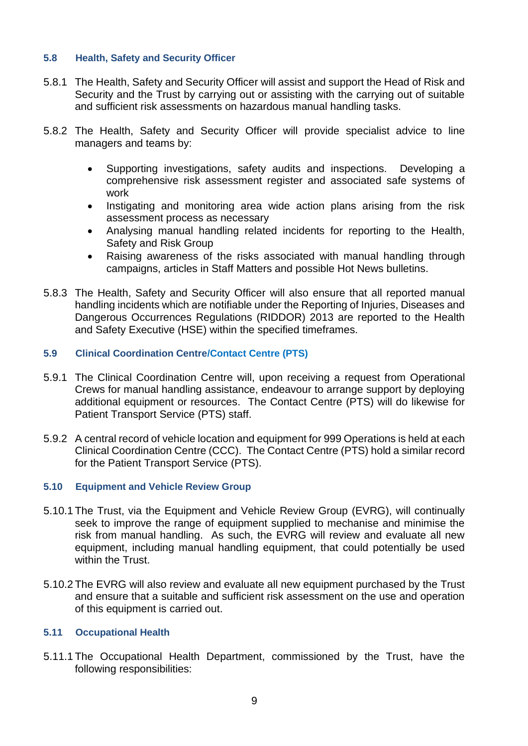#### <span id="page-8-0"></span>**5.8 Health, Safety and Security Officer**

- 5.8.1 The Health, Safety and Security Officer will assist and support the Head of Risk and Security and the Trust by carrying out or assisting with the carrying out of suitable and sufficient risk assessments on hazardous manual handling tasks.
- 5.8.2 The Health, Safety and Security Officer will provide specialist advice to line managers and teams by:
	- Supporting investigations, safety audits and inspections. Developing a comprehensive risk assessment register and associated safe systems of work
	- Instigating and monitoring area wide action plans arising from the risk assessment process as necessary
	- Analysing manual handling related incidents for reporting to the Health, Safety and Risk Group
	- Raising awareness of the risks associated with manual handling through campaigns, articles in Staff Matters and possible Hot News bulletins.
- 5.8.3 The Health, Safety and Security Officer will also ensure that all reported manual handling incidents which are notifiable under the Reporting of Injuries, Diseases and Dangerous Occurrences Regulations (RIDDOR) 2013 are reported to the Health and Safety Executive (HSE) within the specified timeframes.

#### <span id="page-8-1"></span>**5.9 Clinical Coordination Centre/Contact Centre (PTS)**

- 5.9.1 The Clinical Coordination Centre will, upon receiving a request from Operational Crews for manual handling assistance, endeavour to arrange support by deploying additional equipment or resources. The Contact Centre (PTS) will do likewise for Patient Transport Service (PTS) staff.
- 5.9.2 A central record of vehicle location and equipment for 999 Operations is held at each Clinical Coordination Centre (CCC). The Contact Centre (PTS) hold a similar record for the Patient Transport Service (PTS).

#### <span id="page-8-2"></span>**5.10 Equipment and Vehicle Review Group**

- 5.10.1 The Trust, via the Equipment and Vehicle Review Group (EVRG), will continually seek to improve the range of equipment supplied to mechanise and minimise the risk from manual handling. As such, the EVRG will review and evaluate all new equipment, including manual handling equipment, that could potentially be used within the Trust.
- 5.10.2 The EVRG will also review and evaluate all new equipment purchased by the Trust and ensure that a suitable and sufficient risk assessment on the use and operation of this equipment is carried out.

#### <span id="page-8-3"></span>**5.11 Occupational Health**

5.11.1 The Occupational Health Department, commissioned by the Trust, have the following responsibilities: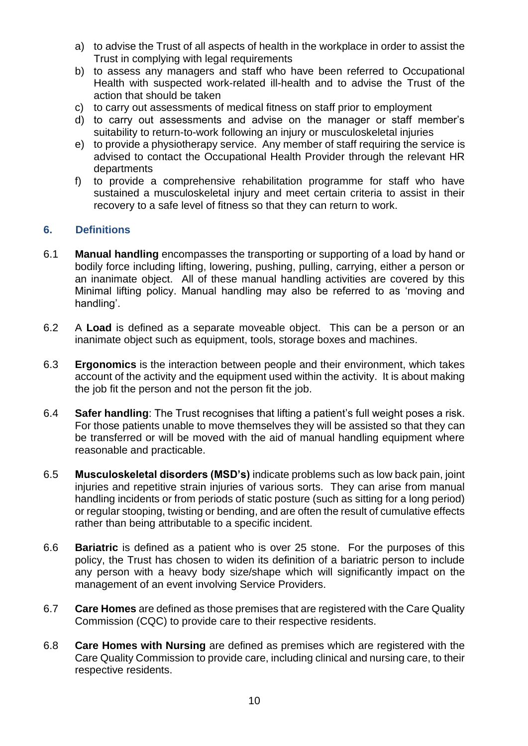- a) to advise the Trust of all aspects of health in the workplace in order to assist the Trust in complying with legal requirements
- b) to assess any managers and staff who have been referred to Occupational Health with suspected work-related ill-health and to advise the Trust of the action that should be taken
- c) to carry out assessments of medical fitness on staff prior to employment
- d) to carry out assessments and advise on the manager or staff member's suitability to return-to-work following an injury or musculoskeletal injuries
- e) to provide a physiotherapy service. Any member of staff requiring the service is advised to contact the Occupational Health Provider through the relevant HR departments
- f) to provide a comprehensive rehabilitation programme for staff who have sustained a musculoskeletal injury and meet certain criteria to assist in their recovery to a safe level of fitness so that they can return to work.

# <span id="page-9-0"></span>**6. Definitions**

- 6.1 **Manual handling** encompasses the transporting or supporting of a load by hand or bodily force including lifting, lowering, pushing, pulling, carrying, either a person or an inanimate object. All of these manual handling activities are covered by this Minimal lifting policy. Manual handling may also be referred to as 'moving and handling'.
- 6.2 A **Load** is defined as a separate moveable object. This can be a person or an inanimate object such as equipment, tools, storage boxes and machines.
- 6.3 **Ergonomics** is the interaction between people and their environment, which takes account of the activity and the equipment used within the activity. It is about making the job fit the person and not the person fit the job.
- 6.4 **Safer handling**: The Trust recognises that lifting a patient's full weight poses a risk. For those patients unable to move themselves they will be assisted so that they can be transferred or will be moved with the aid of manual handling equipment where reasonable and practicable.
- 6.5 **Musculoskeletal disorders (MSD's)** indicate problems such as low back pain, joint injuries and repetitive strain injuries of various sorts. They can arise from manual handling incidents or from periods of static posture (such as sitting for a long period) or regular stooping, twisting or bending, and are often the result of cumulative effects rather than being attributable to a specific incident.
- 6.6 **Bariatric** is defined as a patient who is over 25 stone. For the purposes of this policy, the Trust has chosen to widen its definition of a bariatric person to include any person with a heavy body size/shape which will significantly impact on the management of an event involving Service Providers.
- 6.7 **Care Homes** are defined as those premises that are registered with the Care Quality Commission (CQC) to provide care to their respective residents.
- 6.8 **Care Homes with Nursing** are defined as premises which are registered with the Care Quality Commission to provide care, including clinical and nursing care, to their respective residents.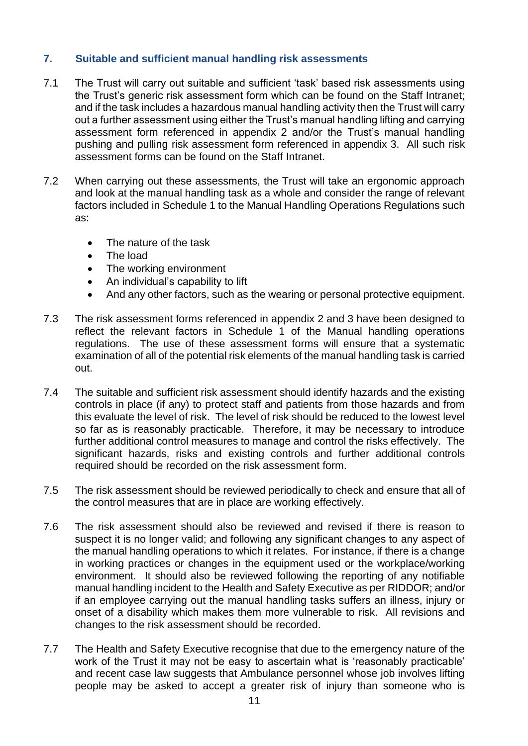# <span id="page-10-0"></span>**7. Suitable and sufficient manual handling risk assessments**

- 7.1 The Trust will carry out suitable and sufficient 'task' based risk assessments using the Trust's generic risk assessment form which can be found on the Staff Intranet; and if the task includes a hazardous manual handling activity then the Trust will carry out a further assessment using either the Trust's manual handling lifting and carrying assessment form referenced in appendix 2 and/or the Trust's manual handling pushing and pulling risk assessment form referenced in appendix 3. All such risk assessment forms can be found on the Staff Intranet.
- 7.2 When carrying out these assessments, the Trust will take an ergonomic approach and look at the manual handling task as a whole and consider the range of relevant factors included in Schedule 1 to the Manual Handling Operations Regulations such as:
	- The nature of the task
	- The load
	- The working environment
	- An individual's capability to lift
	- And any other factors, such as the wearing or personal protective equipment.
- 7.3 The risk assessment forms referenced in appendix 2 and 3 have been designed to reflect the relevant factors in Schedule 1 of the Manual handling operations regulations. The use of these assessment forms will ensure that a systematic examination of all of the potential risk elements of the manual handling task is carried out.
- 7.4 The suitable and sufficient risk assessment should identify hazards and the existing controls in place (if any) to protect staff and patients from those hazards and from this evaluate the level of risk. The level of risk should be reduced to the lowest level so far as is reasonably practicable. Therefore, it may be necessary to introduce further additional control measures to manage and control the risks effectively. The significant hazards, risks and existing controls and further additional controls required should be recorded on the risk assessment form.
- 7.5 The risk assessment should be reviewed periodically to check and ensure that all of the control measures that are in place are working effectively.
- 7.6 The risk assessment should also be reviewed and revised if there is reason to suspect it is no longer valid; and following any significant changes to any aspect of the manual handling operations to which it relates. For instance, if there is a change in working practices or changes in the equipment used or the workplace/working environment. It should also be reviewed following the reporting of any notifiable manual handling incident to the Health and Safety Executive as per RIDDOR; and/or if an employee carrying out the manual handling tasks suffers an illness, injury or onset of a disability which makes them more vulnerable to risk. All revisions and changes to the risk assessment should be recorded.
- 7.7 The Health and Safety Executive recognise that due to the emergency nature of the work of the Trust it may not be easy to ascertain what is 'reasonably practicable' and recent case law suggests that Ambulance personnel whose job involves lifting people may be asked to accept a greater risk of injury than someone who is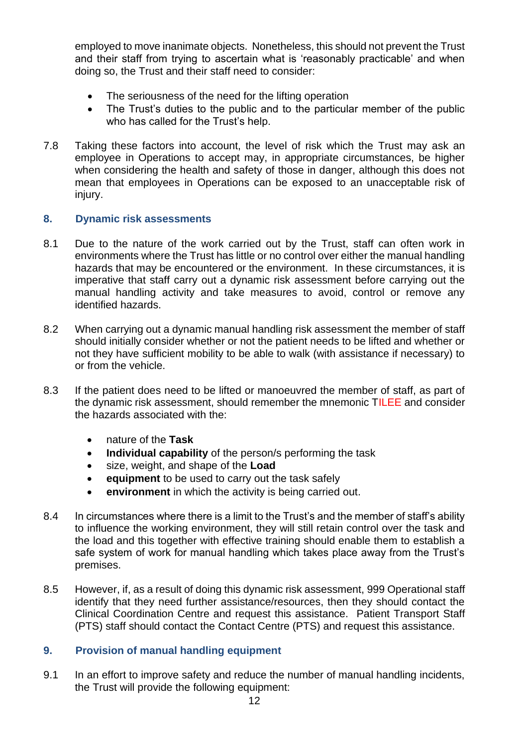employed to move inanimate objects. Nonetheless, this should not prevent the Trust and their staff from trying to ascertain what is 'reasonably practicable' and when doing so, the Trust and their staff need to consider:

- The seriousness of the need for the lifting operation
- The Trust's duties to the public and to the particular member of the public who has called for the Trust's help.
- 7.8 Taking these factors into account, the level of risk which the Trust may ask an employee in Operations to accept may, in appropriate circumstances, be higher when considering the health and safety of those in danger, although this does not mean that employees in Operations can be exposed to an unacceptable risk of injury.

#### <span id="page-11-0"></span>**8. Dynamic risk assessments**

- 8.1 Due to the nature of the work carried out by the Trust, staff can often work in environments where the Trust has little or no control over either the manual handling hazards that may be encountered or the environment. In these circumstances, it is imperative that staff carry out a dynamic risk assessment before carrying out the manual handling activity and take measures to avoid, control or remove any identified hazards.
- 8.2 When carrying out a dynamic manual handling risk assessment the member of staff should initially consider whether or not the patient needs to be lifted and whether or not they have sufficient mobility to be able to walk (with assistance if necessary) to or from the vehicle.
- 8.3 If the patient does need to be lifted or manoeuvred the member of staff, as part of the dynamic risk assessment, should remember the mnemonic TILEE and consider the hazards associated with the:
	- nature of the **Task**
	- **Individual capability** of the person/s performing the task
	- size, weight, and shape of the **Load**
	- **equipment** to be used to carry out the task safely
	- **environment** in which the activity is being carried out.
- 8.4 In circumstances where there is a limit to the Trust's and the member of staff's ability to influence the working environment, they will still retain control over the task and the load and this together with effective training should enable them to establish a safe system of work for manual handling which takes place away from the Trust's premises.
- 8.5 However, if, as a result of doing this dynamic risk assessment, 999 Operational staff identify that they need further assistance/resources, then they should contact the Clinical Coordination Centre and request this assistance. Patient Transport Staff (PTS) staff should contact the Contact Centre (PTS) and request this assistance.

#### <span id="page-11-1"></span>**9. Provision of manual handling equipment**

9.1 In an effort to improve safety and reduce the number of manual handling incidents, the Trust will provide the following equipment: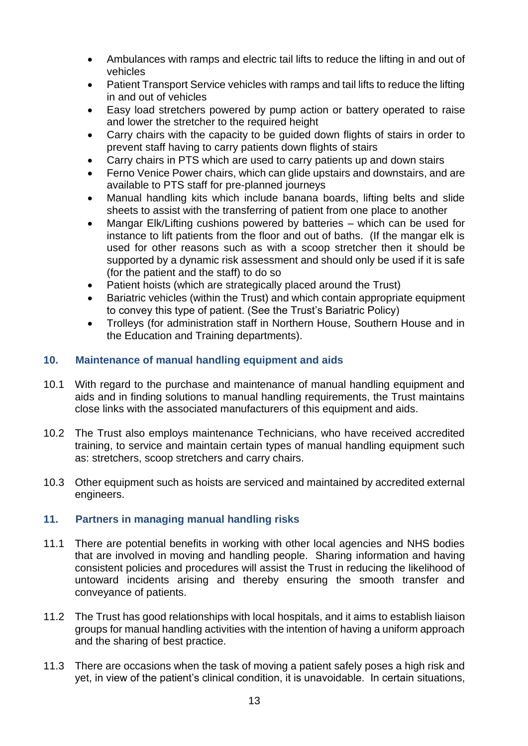- Ambulances with ramps and electric tail lifts to reduce the lifting in and out of vehicles
- Patient Transport Service vehicles with ramps and tail lifts to reduce the lifting in and out of vehicles
- Easy load stretchers powered by pump action or battery operated to raise and lower the stretcher to the required height
- Carry chairs with the capacity to be guided down flights of stairs in order to prevent staff having to carry patients down flights of stairs
- Carry chairs in PTS which are used to carry patients up and down stairs
- Ferno Venice Power chairs, which can glide upstairs and downstairs, and are available to PTS staff for pre-planned journeys
- Manual handling kits which include banana boards, lifting belts and slide sheets to assist with the transferring of patient from one place to another
- Mangar Elk/Lifting cushions powered by batteries which can be used for instance to lift patients from the floor and out of baths. (If the mangar elk is used for other reasons such as with a scoop stretcher then it should be supported by a dynamic risk assessment and should only be used if it is safe (for the patient and the staff) to do so
- Patient hoists (which are strategically placed around the Trust)
- Bariatric vehicles (within the Trust) and which contain appropriate equipment to convey this type of patient. (See the Trust's Bariatric Policy)
- Trolleys (for administration staff in Northern House, Southern House and in the Education and Training departments).

# <span id="page-12-0"></span>**10. Maintenance of manual handling equipment and aids**

- 10.1 With regard to the purchase and maintenance of manual handling equipment and aids and in finding solutions to manual handling requirements, the Trust maintains close links with the associated manufacturers of this equipment and aids.
- 10.2 The Trust also employs maintenance Technicians, who have received accredited training, to service and maintain certain types of manual handling equipment such as: stretchers, scoop stretchers and carry chairs.
- 10.3 Other equipment such as hoists are serviced and maintained by accredited external engineers.

#### <span id="page-12-1"></span>**11. Partners in managing manual handling risks**

- 11.1 There are potential benefits in working with other local agencies and NHS bodies that are involved in moving and handling people. Sharing information and having consistent policies and procedures will assist the Trust in reducing the likelihood of untoward incidents arising and thereby ensuring the smooth transfer and conveyance of patients.
- 11.2 The Trust has good relationships with local hospitals, and it aims to establish liaison groups for manual handling activities with the intention of having a uniform approach and the sharing of best practice.
- 11.3 There are occasions when the task of moving a patient safely poses a high risk and yet, in view of the patient's clinical condition, it is unavoidable. In certain situations,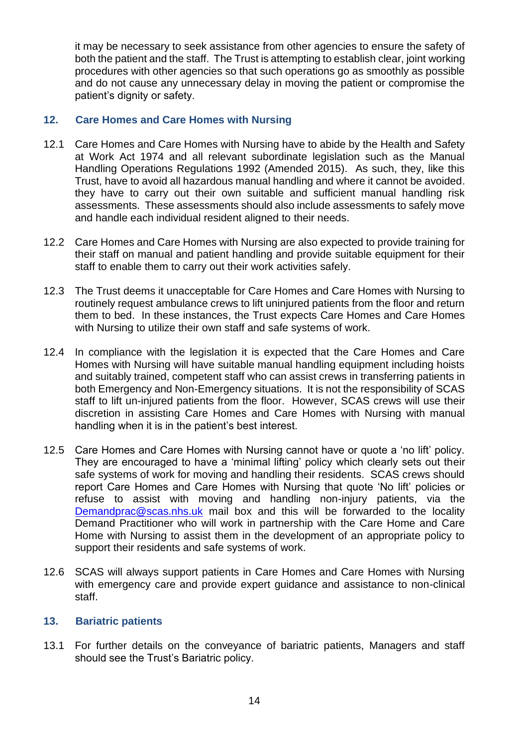it may be necessary to seek assistance from other agencies to ensure the safety of both the patient and the staff. The Trust is attempting to establish clear, joint working procedures with other agencies so that such operations go as smoothly as possible and do not cause any unnecessary delay in moving the patient or compromise the patient's dignity or safety.

# <span id="page-13-0"></span>**12. Care Homes and Care Homes with Nursing**

- 12.1 Care Homes and Care Homes with Nursing have to abide by the Health and Safety at Work Act 1974 and all relevant subordinate legislation such as the Manual Handling Operations Regulations 1992 (Amended 2015). As such, they, like this Trust, have to avoid all hazardous manual handling and where it cannot be avoided. they have to carry out their own suitable and sufficient manual handling risk assessments. These assessments should also include assessments to safely move and handle each individual resident aligned to their needs.
- 12.2 Care Homes and Care Homes with Nursing are also expected to provide training for their staff on manual and patient handling and provide suitable equipment for their staff to enable them to carry out their work activities safely.
- 12.3 The Trust deems it unacceptable for Care Homes and Care Homes with Nursing to routinely request ambulance crews to lift uninjured patients from the floor and return them to bed. In these instances, the Trust expects Care Homes and Care Homes with Nursing to utilize their own staff and safe systems of work.
- 12.4 In compliance with the legislation it is expected that the Care Homes and Care Homes with Nursing will have suitable manual handling equipment including hoists and suitably trained, competent staff who can assist crews in transferring patients in both Emergency and Non-Emergency situations. It is not the responsibility of SCAS staff to lift un-injured patients from the floor. However, SCAS crews will use their discretion in assisting Care Homes and Care Homes with Nursing with manual handling when it is in the patient's best interest.
- 12.5 Care Homes and Care Homes with Nursing cannot have or quote a 'no lift' policy. They are encouraged to have a 'minimal lifting' policy which clearly sets out their safe systems of work for moving and handling their residents. SCAS crews should report Care Homes and Care Homes with Nursing that quote 'No lift' policies or refuse to assist with moving and handling non-injury patients, via the [Demandprac@scas.nhs.uk](mailto:Demandprac@scas.nhs.uk) mail box and this will be forwarded to the locality Demand Practitioner who will work in partnership with the Care Home and Care Home with Nursing to assist them in the development of an appropriate policy to support their residents and safe systems of work.
- 12.6 SCAS will always support patients in Care Homes and Care Homes with Nursing with emergency care and provide expert guidance and assistance to non-clinical staff.

#### <span id="page-13-1"></span>**13. Bariatric patients**

13.1 For further details on the conveyance of bariatric patients, Managers and staff should see the Trust's Bariatric policy.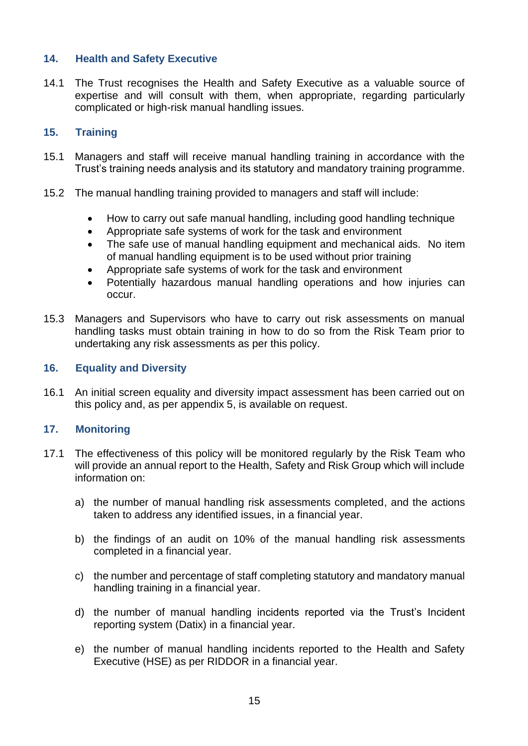# <span id="page-14-0"></span>**14. Health and Safety Executive**

14.1 The Trust recognises the Health and Safety Executive as a valuable source of expertise and will consult with them, when appropriate, regarding particularly complicated or high-risk manual handling issues.

# <span id="page-14-1"></span>**15. Training**

- 15.1 Managers and staff will receive manual handling training in accordance with the Trust's training needs analysis and its statutory and mandatory training programme.
- 15.2 The manual handling training provided to managers and staff will include:
	- How to carry out safe manual handling, including good handling technique
	- Appropriate safe systems of work for the task and environment
	- The safe use of manual handling equipment and mechanical aids. No item of manual handling equipment is to be used without prior training
	- Appropriate safe systems of work for the task and environment
	- Potentially hazardous manual handling operations and how injuries can occur.
- 15.3 Managers and Supervisors who have to carry out risk assessments on manual handling tasks must obtain training in how to do so from the Risk Team prior to undertaking any risk assessments as per this policy.

#### <span id="page-14-2"></span>**16. Equality and Diversity**

16.1 An initial screen equality and diversity impact assessment has been carried out on this policy and, as per appendix 5, is available on request.

#### <span id="page-14-3"></span>**17. Monitoring**

- 17.1 The effectiveness of this policy will be monitored regularly by the Risk Team who will provide an annual report to the Health, Safety and Risk Group which will include information on:
	- a) the number of manual handling risk assessments completed, and the actions taken to address any identified issues, in a financial year.
	- b) the findings of an audit on 10% of the manual handling risk assessments completed in a financial year.
	- c) the number and percentage of staff completing statutory and mandatory manual handling training in a financial year.
	- d) the number of manual handling incidents reported via the Trust's Incident reporting system (Datix) in a financial year.
	- e) the number of manual handling incidents reported to the Health and Safety Executive (HSE) as per RIDDOR in a financial year.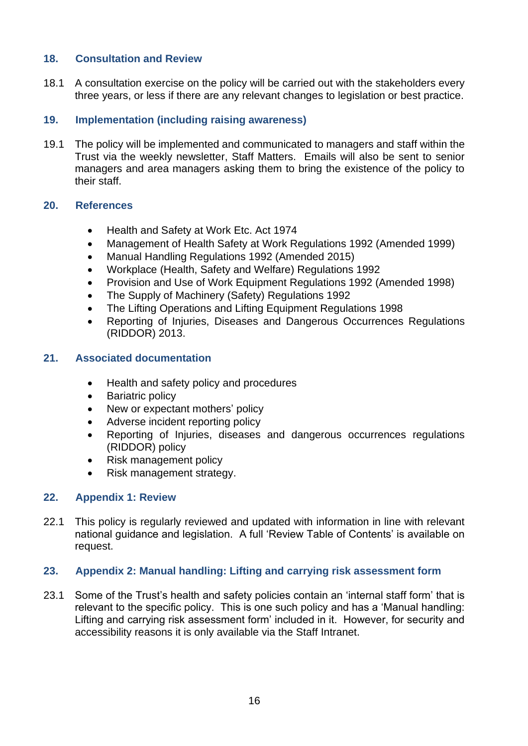# <span id="page-15-0"></span>**18. Consultation and Review**

18.1 A consultation exercise on the policy will be carried out with the stakeholders every three years, or less if there are any relevant changes to legislation or best practice.

# <span id="page-15-1"></span>**19. Implementation (including raising awareness)**

19.1 The policy will be implemented and communicated to managers and staff within the Trust via the weekly newsletter, Staff Matters. Emails will also be sent to senior managers and area managers asking them to bring the existence of the policy to their staff.

# <span id="page-15-2"></span>**20. References**

- Health and Safety at Work Etc. Act 1974
- Management of Health Safety at Work Regulations 1992 (Amended 1999)
- Manual Handling Regulations 1992 (Amended 2015)
- Workplace (Health, Safety and Welfare) Regulations 1992
- Provision and Use of Work Equipment Regulations 1992 (Amended 1998)
- The Supply of Machinery (Safety) Regulations 1992
- The Lifting Operations and Lifting Equipment Regulations 1998
- Reporting of Injuries, Diseases and Dangerous Occurrences Regulations (RIDDOR) 2013.

# <span id="page-15-3"></span>**21. Associated documentation**

- Health and safety policy and procedures
- Bariatric policy
- New or expectant mothers' policy
- Adverse incident reporting policy
- Reporting of Injuries, diseases and dangerous occurrences regulations (RIDDOR) policy
- Risk management policy
- Risk management strategy.

# <span id="page-15-4"></span>**22. Appendix 1: Review**

22.1 This policy is regularly reviewed and updated with information in line with relevant national guidance and legislation. A full 'Review Table of Contents' is available on request.

#### <span id="page-15-5"></span>**23. Appendix 2: Manual handling: Lifting and carrying risk assessment form**

23.1 Some of the Trust's health and safety policies contain an 'internal staff form' that is relevant to the specific policy. This is one such policy and has a 'Manual handling: Lifting and carrying risk assessment form' included in it. However, for security and accessibility reasons it is only available via the Staff Intranet.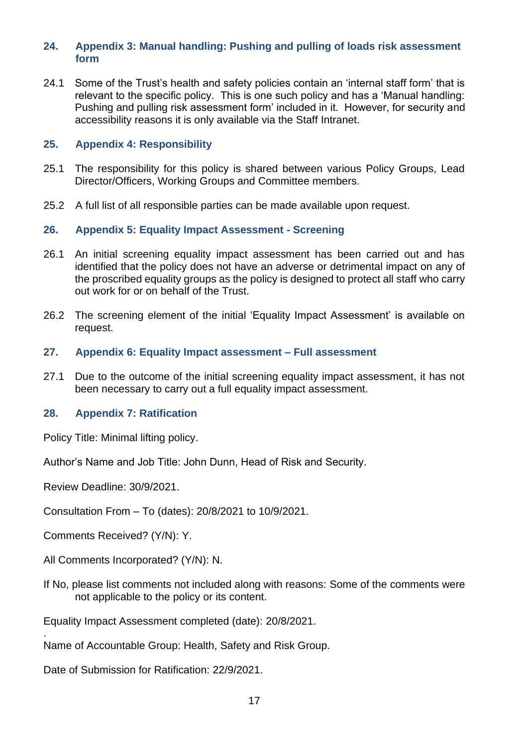#### <span id="page-16-0"></span>**24. Appendix 3: Manual handling: Pushing and pulling of loads risk assessment form**

24.1 Some of the Trust's health and safety policies contain an 'internal staff form' that is relevant to the specific policy. This is one such policy and has a 'Manual handling: Pushing and pulling risk assessment form' included in it. However, for security and accessibility reasons it is only available via the Staff Intranet.

#### <span id="page-16-1"></span>**25. Appendix 4: Responsibility**

- 25.1 The responsibility for this policy is shared between various Policy Groups, Lead Director/Officers, Working Groups and Committee members.
- 25.2 A full list of all responsible parties can be made available upon request.

#### <span id="page-16-2"></span>**26. Appendix 5: Equality Impact Assessment - Screening**

- 26.1 An initial screening equality impact assessment has been carried out and has identified that the policy does not have an adverse or detrimental impact on any of the proscribed equality groups as the policy is designed to protect all staff who carry out work for or on behalf of the Trust.
- 26.2 The screening element of the initial 'Equality Impact Assessment' is available on request.
- <span id="page-16-3"></span>**27. Appendix 6: Equality Impact assessment – Full assessment**
- 27.1 Due to the outcome of the initial screening equality impact assessment, it has not been necessary to carry out a full equality impact assessment.

#### <span id="page-16-4"></span>**28. Appendix 7: Ratification**

Policy Title: Minimal lifting policy.

Author's Name and Job Title: John Dunn, Head of Risk and Security.

Review Deadline: 30/9/2021.

Consultation From – To (dates): 20/8/2021 to 10/9/2021.

Comments Received? (Y/N): Y.

.

All Comments Incorporated? (Y/N): N.

If No, please list comments not included along with reasons: Some of the comments were not applicable to the policy or its content.

Equality Impact Assessment completed (date): 20/8/2021.

Name of Accountable Group: Health, Safety and Risk Group.

Date of Submission for Ratification: 22/9/2021.